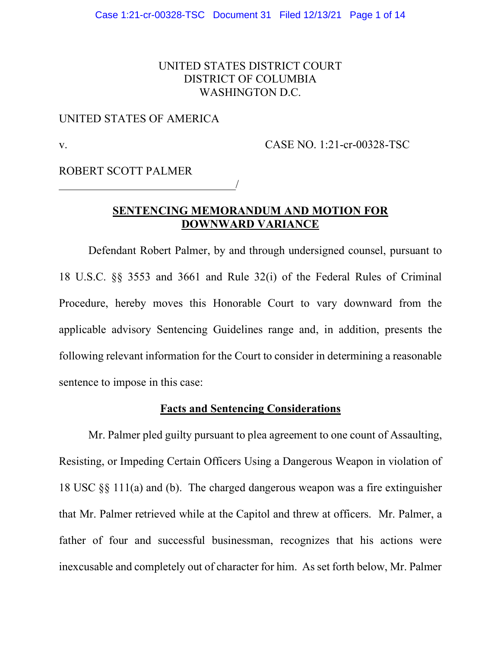# UNITED STATES DISTRICT COURT DISTRICT OF COLUMBIA WASHINGTON D.C.

## UNITED STATES OF AMERICA

v. CASE NO. 1:21-cr-00328-TSC

ROBERT SCOTT PALMER

# **SENTENCING MEMORANDUM AND MOTION FOR DOWNWARD VARIANCE**

/

Defendant Robert Palmer, by and through undersigned counsel, pursuant to 18 U.S.C. §§ 3553 and 3661 and Rule 32(i) of the Federal Rules of Criminal Procedure, hereby moves this Honorable Court to vary downward from the applicable advisory Sentencing Guidelines range and, in addition, presents the following relevant information for the Court to consider in determining a reasonable sentence to impose in this case:

## **Facts and Sentencing Considerations**

Mr. Palmer pled guilty pursuant to plea agreement to one count of Assaulting, Resisting, or Impeding Certain Officers Using a Dangerous Weapon in violation of 18 USC §§ 111(a) and (b). The charged dangerous weapon was a fire extinguisher that Mr. Palmer retrieved while at the Capitol and threw at officers. Mr. Palmer, a father of four and successful businessman, recognizes that his actions were inexcusable and completely out of character for him. As set forth below, Mr. Palmer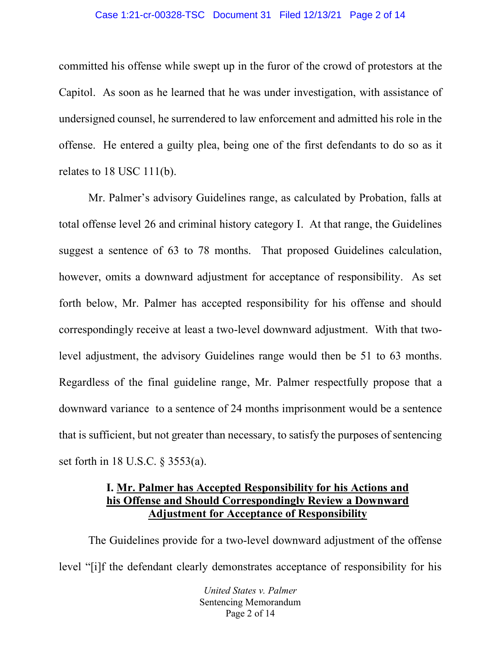#### Case 1:21-cr-00328-TSC Document 31 Filed 12/13/21 Page 2 of 14

committed his offense while swept up in the furor of the crowd of protestors at the Capitol. As soon as he learned that he was under investigation, with assistance of undersigned counsel, he surrendered to law enforcement and admitted his role in the offense. He entered a guilty plea, being one of the first defendants to do so as it relates to 18 USC 111(b).

Mr. Palmer's advisory Guidelines range, as calculated by Probation, falls at total offense level 26 and criminal history category I. At that range, the Guidelines suggest a sentence of 63 to 78 months. That proposed Guidelines calculation, however, omits a downward adjustment for acceptance of responsibility. As set forth below, Mr. Palmer has accepted responsibility for his offense and should correspondingly receive at least a two-level downward adjustment. With that twolevel adjustment, the advisory Guidelines range would then be 51 to 63 months. Regardless of the final guideline range, Mr. Palmer respectfully propose that a downward variance to a sentence of 24 months imprisonment would be a sentence that is sufficient, but not greater than necessary, to satisfy the purposes of sentencing set forth in 18 U.S.C. § 3553(a).

# **I. Mr. Palmer has Accepted Responsibility for his Actions and his Offense and Should Correspondingly Review a Downward Adjustment for Acceptance of Responsibility**

The Guidelines provide for a two-level downward adjustment of the offense level "[i]f the defendant clearly demonstrates acceptance of responsibility for his

> *United States v. Palmer* Sentencing Memorandum Page 2 of 14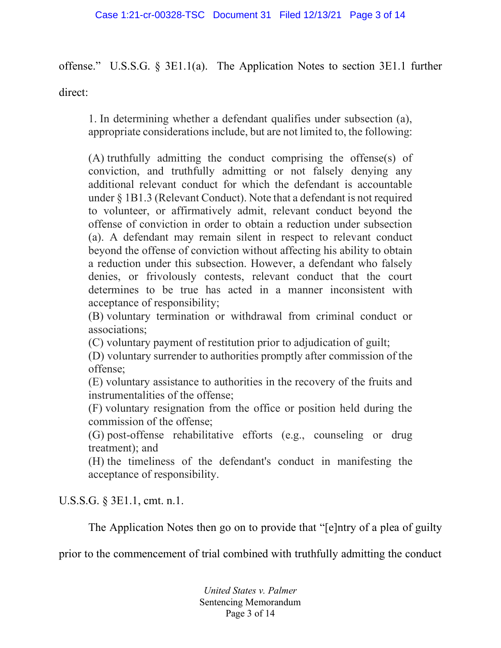offense." U.S.S.G. § 3E1.1(a). The Application Notes to section 3E1.1 further

direct:

1. In determining whether a defendant qualifies under subsection (a), appropriate considerations include, but are not limited to, the following:

(A) truthfully admitting the conduct comprising the offense(s) of conviction, and truthfully admitting or not falsely denying any additional relevant conduct for which the defendant is accountable under § 1B1.3 (Relevant Conduct). Note that a defendant is not required to volunteer, or affirmatively admit, relevant conduct beyond the offense of conviction in order to obtain a reduction under subsection (a). A defendant may remain silent in respect to relevant conduct beyond the offense of conviction without affecting his ability to obtain a reduction under this subsection. However, a defendant who falsely denies, or frivolously contests, relevant conduct that the court determines to be true has acted in a manner inconsistent with acceptance of responsibility;

(B) voluntary termination or withdrawal from criminal conduct or associations;

(C) voluntary payment of restitution prior to adjudication of guilt;

(D) voluntary surrender to authorities promptly after commission of the offense;

(E) voluntary assistance to authorities in the recovery of the fruits and instrumentalities of the offense;

(F) voluntary resignation from the office or position held during the commission of the offense;

(G) post-offense rehabilitative efforts (e.g., counseling or drug treatment); and

(H) the timeliness of the defendant's conduct in manifesting the acceptance of responsibility.

U.S.S.G. § 3E1.1, cmt. n.1.

The Application Notes then go on to provide that "[e]ntry of a plea of guilty

prior to the commencement of trial combined with truthfully admitting the conduct

*United States v. Palmer* Sentencing Memorandum Page 3 of 14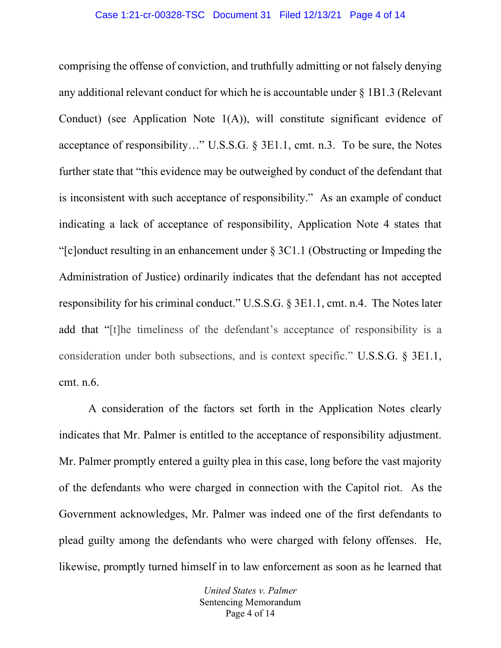comprising the offense of conviction, and truthfully admitting or not falsely denying any additional relevant conduct for which he is accountable under § 1B1.3 (Relevant Conduct) (see Application Note 1(A)), will constitute significant evidence of acceptance of responsibility…" U.S.S.G. § 3E1.1, cmt. n.3. To be sure, the Notes further state that "this evidence may be outweighed by conduct of the defendant that is inconsistent with such acceptance of responsibility." As an example of conduct indicating a lack of acceptance of responsibility, Application Note 4 states that "[c]onduct resulting in an enhancement under § 3C1.1 (Obstructing or Impeding the Administration of Justice) ordinarily indicates that the defendant has not accepted responsibility for his criminal conduct." U.S.S.G. § 3E1.1, cmt. n.4. The Notes later add that "[t]he timeliness of the defendant's acceptance of responsibility is a consideration under both subsections, and is context specific." U.S.S.G. § 3E1.1, cmt. n.6.

A consideration of the factors set forth in the Application Notes clearly indicates that Mr. Palmer is entitled to the acceptance of responsibility adjustment. Mr. Palmer promptly entered a guilty plea in this case, long before the vast majority of the defendants who were charged in connection with the Capitol riot. As the Government acknowledges, Mr. Palmer was indeed one of the first defendants to plead guilty among the defendants who were charged with felony offenses. He, likewise, promptly turned himself in to law enforcement as soon as he learned that

> *United States v. Palmer* Sentencing Memorandum Page 4 of 14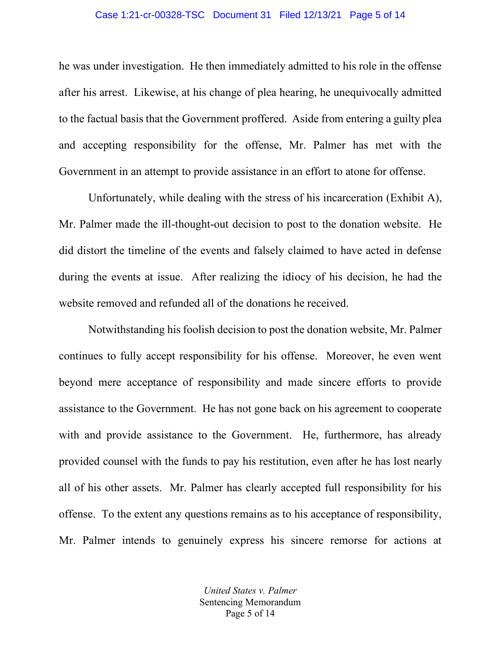#### Case 1:21-cr-00328-TSC Document 31 Filed 12/13/21 Page 5 of 14

he was under investigation. He then immediately admitted to his role in the offense after his arrest. Likewise, at his change of plea hearing, he unequivocally admitted to the factual basis that the Government proffered. Aside from entering a guilty plea and accepting responsibility for the offense, Mr. Palmer has met with the Government in an attempt to provide assistance in an effort to atone for offense.

Unfortunately, while dealing with the stress of his incarceration (Exhibit A), Mr. Palmer made the ill-thought-out decision to post to the donation website. He did distort the timeline of the events and falsely claimed to have acted in defense during the events at issue. After realizing the idiocy of his decision, he had the website removed and refunded all of the donations he received.

Notwithstanding his foolish decision to post the donation website, Mr. Palmer continues to fully accept responsibility for his offense. Moreover, he even went beyond mere acceptance of responsibility and made sincere efforts to provide assistance to the Government. He has not gone back on his agreement to cooperate with and provide assistance to the Government. He, furthermore, has already provided counsel with the funds to pay his restitution, even after he has lost nearly all of his other assets. Mr. Palmer has clearly accepted full responsibility for his offense. To the extent any questions remains as to his acceptance of responsibility, Mr. Palmer intends to genuinely express his sincere remorse for actions at

> *United States v. Palmer* Sentencing Memorandum Page 5 of 14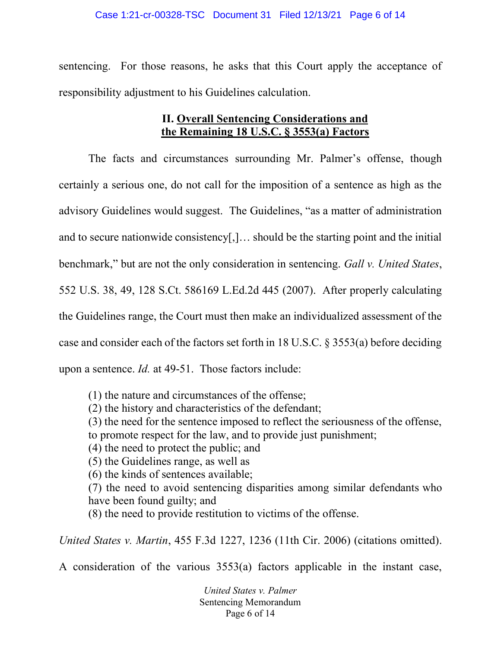sentencing. For those reasons, he asks that this Court apply the acceptance of responsibility adjustment to his Guidelines calculation.

# **II. Overall Sentencing Considerations and the Remaining 18 U.S.C. § 3553(a) Factors**

The facts and circumstances surrounding Mr. Palmer's offense, though certainly a serious one, do not call for the imposition of a sentence as high as the advisory Guidelines would suggest. The Guidelines, "as a matter of administration and to secure nationwide consistency[,]… should be the starting point and the initial benchmark," but are not the only consideration in sentencing. *Gall v. United States*, 552 U.S. 38, 49, 128 S.Ct. 586169 L.Ed.2d 445 (2007). After properly calculating the Guidelines range, the Court must then make an individualized assessment of the case and consider each of the factors set forth in 18 U.S.C. § 3553(a) before deciding upon a sentence. *Id.* at 49-51. Those factors include:

(1) the nature and circumstances of the offense;

(2) the history and characteristics of the defendant;

(3) the need for the sentence imposed to reflect the seriousness of the offense, to promote respect for the law, and to provide just punishment;

(4) the need to protect the public; and

(5) the Guidelines range, as well as

(6) the kinds of sentences available;

(7) the need to avoid sentencing disparities among similar defendants who have been found guilty; and

(8) the need to provide restitution to victims of the offense.

*United States v. Martin*, 455 F.3d 1227, 1236 (11th Cir. 2006) (citations omitted).

A consideration of the various 3553(a) factors applicable in the instant case,

*United States v. Palmer* Sentencing Memorandum Page 6 of 14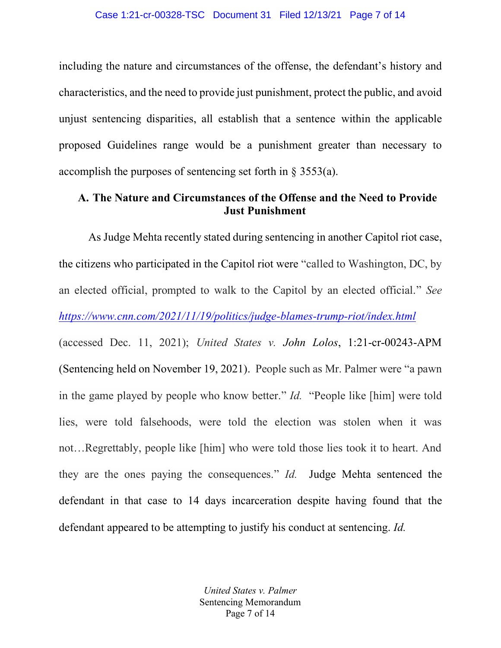including the nature and circumstances of the offense, the defendant's history and characteristics, and the need to provide just punishment, protect the public, and avoid unjust sentencing disparities, all establish that a sentence within the applicable proposed Guidelines range would be a punishment greater than necessary to accomplish the purposes of sentencing set forth in § 3553(a).

# **A. The Nature and Circumstances of the Offense and the Need to Provide Just Punishment**

As Judge Mehta recently stated during sentencing in another Capitol riot case, the citizens who participated in the Capitol riot were "called to Washington, DC, by an elected official, prompted to walk to the Capitol by an elected official." *See <https://www.cnn.com/2021/11/19/politics/judge-blames-trump-riot/index.html>* (accessed Dec. 11, 2021); *United States v. John Lolos*, 1:21-cr-00243-APM (Sentencing held on November 19, 2021). People such as Mr. Palmer were "a pawn in the game played by people who know better." *Id.* "People like [him] were told lies, were told falsehoods, were told the election was stolen when it was not…Regrettably, people like [him] who were told those lies took it to heart. And they are the ones paying the consequences." *Id.* Judge Mehta sentenced the defendant in that case to 14 days incarceration despite having found that the defendant appeared to be attempting to justify his conduct at sentencing. *Id.*

> *United States v. Palmer* Sentencing Memorandum Page 7 of 14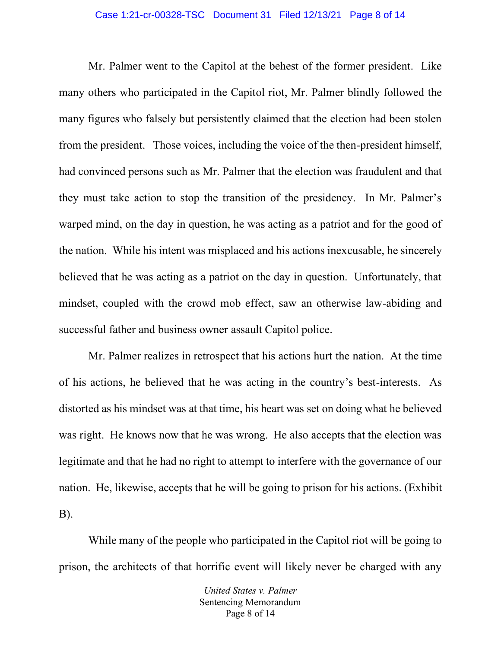#### Case 1:21-cr-00328-TSC Document 31 Filed 12/13/21 Page 8 of 14

Mr. Palmer went to the Capitol at the behest of the former president. Like many others who participated in the Capitol riot, Mr. Palmer blindly followed the many figures who falsely but persistently claimed that the election had been stolen from the president. Those voices, including the voice of the then-president himself, had convinced persons such as Mr. Palmer that the election was fraudulent and that they must take action to stop the transition of the presidency. In Mr. Palmer's warped mind, on the day in question, he was acting as a patriot and for the good of the nation. While his intent was misplaced and his actions inexcusable, he sincerely believed that he was acting as a patriot on the day in question. Unfortunately, that mindset, coupled with the crowd mob effect, saw an otherwise law-abiding and successful father and business owner assault Capitol police.

Mr. Palmer realizes in retrospect that his actions hurt the nation. At the time of his actions, he believed that he was acting in the country's best-interests. As distorted as his mindset was at that time, his heart was set on doing what he believed was right. He knows now that he was wrong. He also accepts that the election was legitimate and that he had no right to attempt to interfere with the governance of our nation. He, likewise, accepts that he will be going to prison for his actions. (Exhibit B).

While many of the people who participated in the Capitol riot will be going to prison, the architects of that horrific event will likely never be charged with any

> *United States v. Palmer* Sentencing Memorandum Page 8 of 14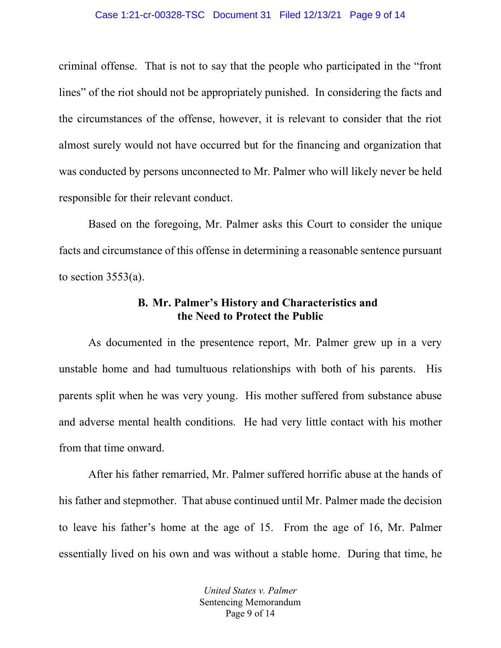#### Case 1:21-cr-00328-TSC Document 31 Filed 12/13/21 Page 9 of 14

criminal offense. That is not to say that the people who participated in the "front lines" of the riot should not be appropriately punished. In considering the facts and the circumstances of the offense, however, it is relevant to consider that the riot almost surely would not have occurred but for the financing and organization that was conducted by persons unconnected to Mr. Palmer who will likely never be held responsible for their relevant conduct.

Based on the foregoing, Mr. Palmer asks this Court to consider the unique facts and circumstance of this offense in determining a reasonable sentence pursuant to section  $3553(a)$ .

## **B. Mr. Palmer's History and Characteristics and the Need to Protect the Public**

As documented in the presentence report, Mr. Palmer grew up in a very unstable home and had tumultuous relationships with both of his parents. His parents split when he was very young. His mother suffered from substance abuse and adverse mental health conditions. He had very little contact with his mother from that time onward.

After his father remarried, Mr. Palmer suffered horrific abuse at the hands of his father and stepmother. That abuse continued until Mr. Palmer made the decision to leave his father's home at the age of 15. From the age of 16, Mr. Palmer essentially lived on his own and was without a stable home. During that time, he

> *United States v. Palmer* Sentencing Memorandum Page 9 of 14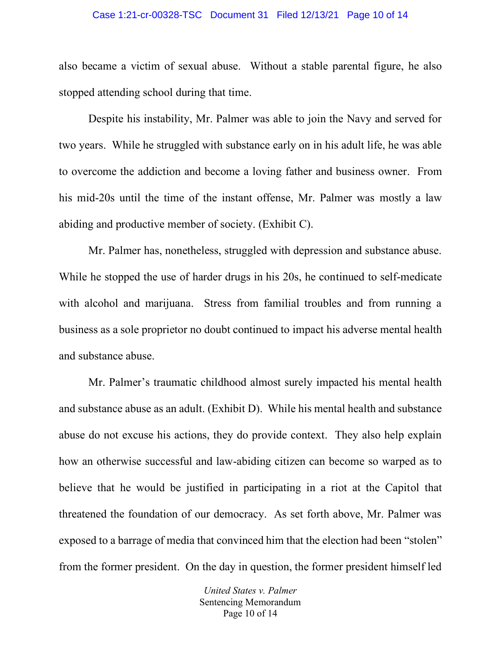#### Case 1:21-cr-00328-TSC Document 31 Filed 12/13/21 Page 10 of 14

also became a victim of sexual abuse. Without a stable parental figure, he also stopped attending school during that time.

Despite his instability, Mr. Palmer was able to join the Navy and served for two years. While he struggled with substance early on in his adult life, he was able to overcome the addiction and become a loving father and business owner. From his mid-20s until the time of the instant offense, Mr. Palmer was mostly a law abiding and productive member of society. (Exhibit C).

Mr. Palmer has, nonetheless, struggled with depression and substance abuse. While he stopped the use of harder drugs in his 20s, he continued to self-medicate with alcohol and marijuana. Stress from familial troubles and from running a business as a sole proprietor no doubt continued to impact his adverse mental health and substance abuse.

Mr. Palmer's traumatic childhood almost surely impacted his mental health and substance abuse as an adult. (Exhibit D). While his mental health and substance abuse do not excuse his actions, they do provide context. They also help explain how an otherwise successful and law-abiding citizen can become so warped as to believe that he would be justified in participating in a riot at the Capitol that threatened the foundation of our democracy. As set forth above, Mr. Palmer was exposed to a barrage of media that convinced him that the election had been "stolen" from the former president. On the day in question, the former president himself led

> *United States v. Palmer* Sentencing Memorandum Page 10 of 14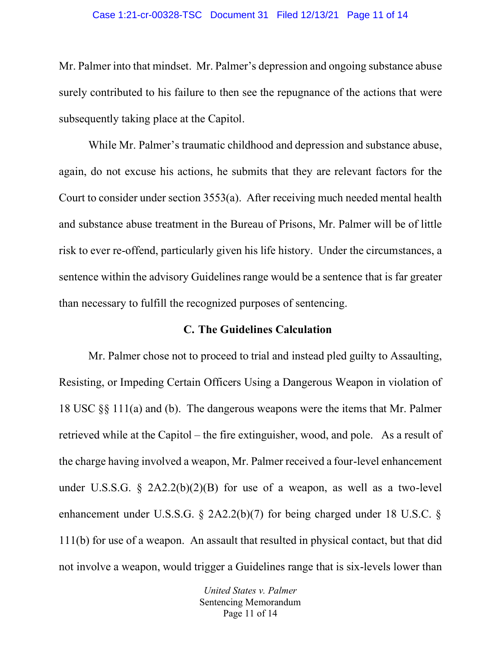#### Case 1:21-cr-00328-TSC Document 31 Filed 12/13/21 Page 11 of 14

Mr. Palmer into that mindset. Mr. Palmer's depression and ongoing substance abuse surely contributed to his failure to then see the repugnance of the actions that were subsequently taking place at the Capitol.

While Mr. Palmer's traumatic childhood and depression and substance abuse, again, do not excuse his actions, he submits that they are relevant factors for the Court to consider under section 3553(a). After receiving much needed mental health and substance abuse treatment in the Bureau of Prisons, Mr. Palmer will be of little risk to ever re-offend, particularly given his life history. Under the circumstances, a sentence within the advisory Guidelines range would be a sentence that is far greater than necessary to fulfill the recognized purposes of sentencing.

## **C. The Guidelines Calculation**

Mr. Palmer chose not to proceed to trial and instead pled guilty to Assaulting, Resisting, or Impeding Certain Officers Using a Dangerous Weapon in violation of 18 USC §§ 111(a) and (b). The dangerous weapons were the items that Mr. Palmer retrieved while at the Capitol – the fire extinguisher, wood, and pole. As a result of the charge having involved a weapon, Mr. Palmer received a four-level enhancement under U.S.S.G.  $\S$  2A2.2(b)(2)(B) for use of a weapon, as well as a two-level enhancement under U.S.S.G. § 2A2.2(b)(7) for being charged under 18 U.S.C. § 111(b) for use of a weapon. An assault that resulted in physical contact, but that did not involve a weapon, would trigger a Guidelines range that is six-levels lower than

> *United States v. Palmer* Sentencing Memorandum Page 11 of 14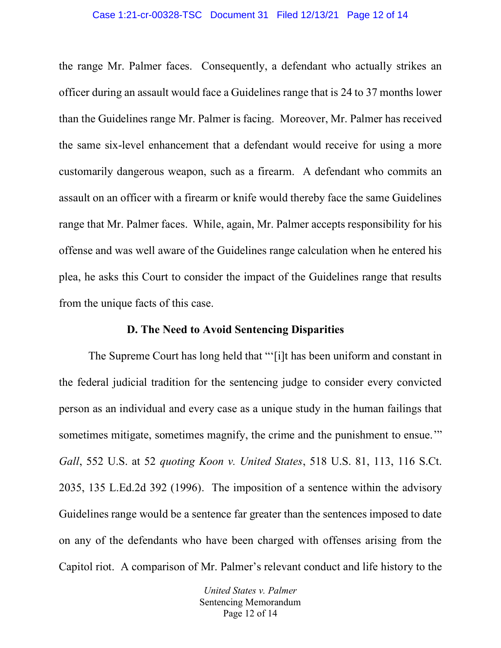#### Case 1:21-cr-00328-TSC Document 31 Filed 12/13/21 Page 12 of 14

the range Mr. Palmer faces. Consequently, a defendant who actually strikes an officer during an assault would face a Guidelines range that is 24 to 37 months lower than the Guidelines range Mr. Palmer is facing. Moreover, Mr. Palmer has received the same six-level enhancement that a defendant would receive for using a more customarily dangerous weapon, such as a firearm. A defendant who commits an assault on an officer with a firearm or knife would thereby face the same Guidelines range that Mr. Palmer faces. While, again, Mr. Palmer accepts responsibility for his offense and was well aware of the Guidelines range calculation when he entered his plea, he asks this Court to consider the impact of the Guidelines range that results from the unique facts of this case.

## **D. The Need to Avoid Sentencing Disparities**

The Supreme Court has long held that "'[i]t has been uniform and constant in the federal judicial tradition for the sentencing judge to consider every convicted person as an individual and every case as a unique study in the human failings that sometimes mitigate, sometimes magnify, the crime and the punishment to ensue." *Gall*, 552 U.S. at 52 *quoting Koon v. United States*, 518 U.S. 81, 113, 116 S.Ct. 2035, 135 L.Ed.2d 392 (1996). The imposition of a sentence within the advisory Guidelines range would be a sentence far greater than the sentences imposed to date on any of the defendants who have been charged with offenses arising from the Capitol riot. A comparison of Mr. Palmer's relevant conduct and life history to the

> *United States v. Palmer* Sentencing Memorandum Page 12 of 14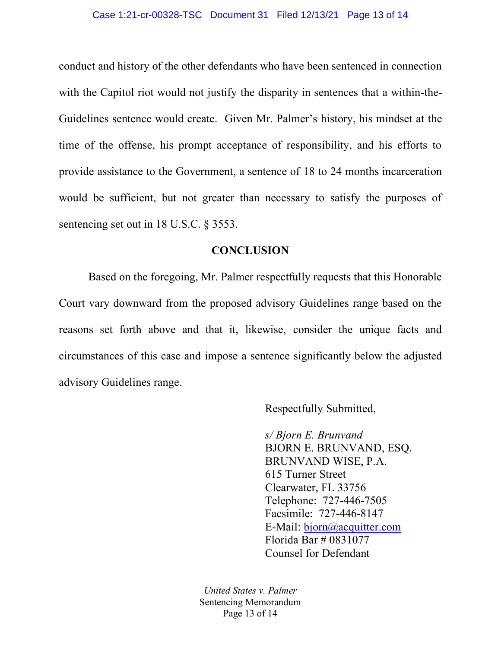conduct and history of the other defendants who have been sentenced in connection with the Capitol riot would not justify the disparity in sentences that a within-the-Guidelines sentence would create. Given Mr. Palmer's history, his mindset at the time of the offense, his prompt acceptance of responsibility, and his efforts to provide assistance to the Government, a sentence of 18 to 24 months incarceration would be sufficient, but not greater than necessary to satisfy the purposes of sentencing set out in 18 U.S.C. § 3553.

### **CONCLUSION**

Based on the foregoing, Mr. Palmer respectfully requests that this Honorable Court vary downward from the proposed advisory Guidelines range based on the reasons set forth above and that it, likewise, consider the unique facts and circumstances of this case and impose a sentence significantly below the adjusted advisory Guidelines range.

Respectfully Submitted,

*s/ Bjorn E. Brunvand* BJORN E. BRUNVAND, ESQ. BRUNVAND WISE, P.A. 615 Turner Street Clearwater, FL 33756 Telephone: 727-446-7505 Facsimile: 727-446-8147 E-Mail: [bjorn@acquitter.com](mailto:bjorn@acquitter.com) Florida Bar # 0831077 Counsel for Defendant

*United States v. Palmer* Sentencing Memorandum Page 13 of 14